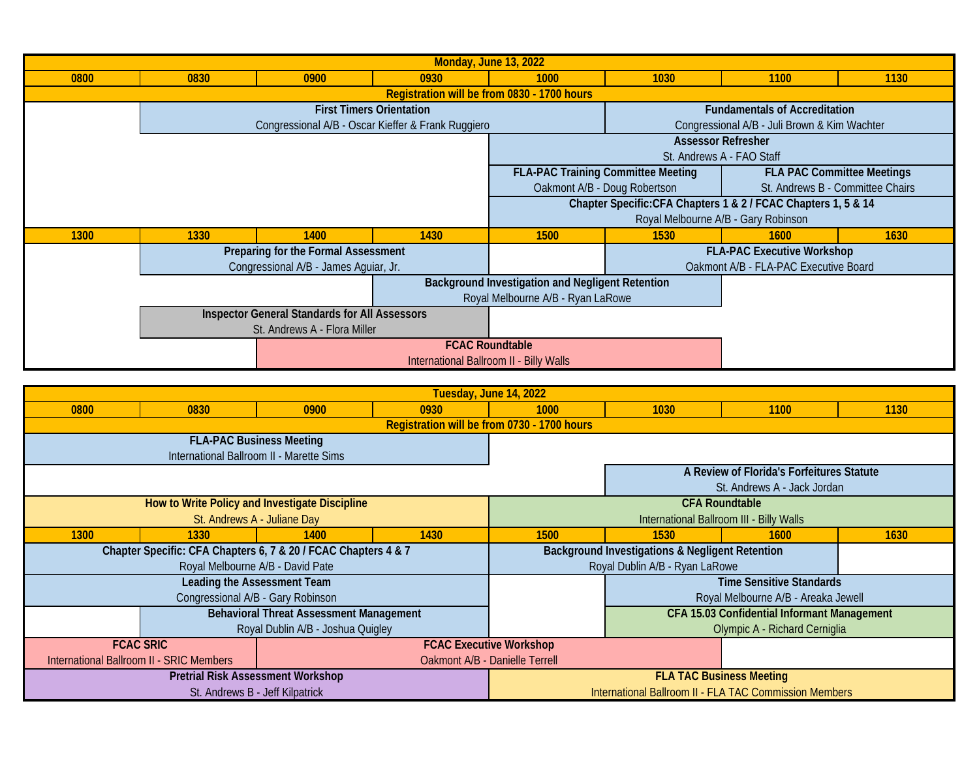| <b>Monday, June 13, 2022</b> |                              |                                                      |                                 |                                                                |                                                                                |                                       |      |  |
|------------------------------|------------------------------|------------------------------------------------------|---------------------------------|----------------------------------------------------------------|--------------------------------------------------------------------------------|---------------------------------------|------|--|
| 0800                         | 0830                         | 0900                                                 | 0930                            | 1000                                                           | 1030                                                                           | 1100                                  | 1130 |  |
|                              |                              |                                                      |                                 |                                                                |                                                                                |                                       |      |  |
|                              |                              |                                                      | <b>First Timers Orientation</b> |                                                                | <b>Fundamentals of Accreditation</b>                                           |                                       |      |  |
|                              |                              | Congressional A/B - Oscar Kieffer & Frank Ruggiero   |                                 |                                                                | Congressional A/B - Juli Brown & Kim Wachter                                   |                                       |      |  |
|                              |                              |                                                      |                                 |                                                                | <b>Assessor Refresher</b>                                                      |                                       |      |  |
|                              |                              |                                                      |                                 |                                                                |                                                                                | St. Andrews A - FAO Staff             |      |  |
|                              |                              |                                                      |                                 |                                                                | <b>FLA-PAC Training Committee Meeting</b><br><b>FLA PAC Committee Meetings</b> |                                       |      |  |
|                              |                              |                                                      |                                 | Oakmont A/B - Doug Robertson                                   |                                                                                | St. Andrews B - Committee Chairs      |      |  |
|                              |                              |                                                      |                                 | Chapter Specific: CFA Chapters 1 & 2 / FCAC Chapters 1, 5 & 14 |                                                                                |                                       |      |  |
|                              |                              |                                                      |                                 |                                                                | Royal Melbourne A/B - Gary Robinson                                            |                                       |      |  |
| 1300                         | 1330                         | 1400                                                 | 1430                            | 1500                                                           | 1530                                                                           | <b>1600</b>                           | 1630 |  |
|                              |                              | Preparing for the Formal Assessment                  |                                 |                                                                | <b>FLA-PAC Executive Workshop</b>                                              |                                       |      |  |
|                              |                              | Congressional A/B - James Aguiar, Jr.                |                                 |                                                                |                                                                                | Oakmont A/B - FLA-PAC Executive Board |      |  |
|                              |                              |                                                      |                                 | Background Investigation and Negligent Retention               |                                                                                |                                       |      |  |
|                              |                              |                                                      |                                 | Royal Melbourne A/B - Ryan LaRowe                              |                                                                                |                                       |      |  |
|                              |                              | <b>Inspector General Standards for All Assessors</b> |                                 |                                                                |                                                                                |                                       |      |  |
|                              | St. Andrews A - Flora Miller |                                                      |                                 |                                                                |                                                                                |                                       |      |  |
|                              | <b>FCAC Roundtable</b>       |                                                      |                                 |                                                                |                                                                                |                                       |      |  |
|                              |                              |                                                      |                                 |                                                                |                                                                                |                                       |      |  |

| Tuesday, June 14, 2022                                                     |                                                                |                                          |      |                                                        |                                                    |                               |      |  |  |
|----------------------------------------------------------------------------|----------------------------------------------------------------|------------------------------------------|------|--------------------------------------------------------|----------------------------------------------------|-------------------------------|------|--|--|
| 0800                                                                       | 0830                                                           | 0900                                     | 0930 | 1000                                                   | 1030                                               | 1100                          | 1130 |  |  |
|                                                                            | Registration will be from 0730 - 1700 hours                    |                                          |      |                                                        |                                                    |                               |      |  |  |
|                                                                            |                                                                | <b>FLA-PAC Business Meeting</b>          |      |                                                        |                                                    |                               |      |  |  |
|                                                                            |                                                                | International Ballroom II - Marette Sims |      |                                                        |                                                    |                               |      |  |  |
|                                                                            |                                                                |                                          |      | A Review of Florida's Forfeitures Statute              |                                                    |                               |      |  |  |
|                                                                            |                                                                |                                          |      |                                                        | St. Andrews A - Jack Jordan                        |                               |      |  |  |
| How to Write Policy and Investigate Discipline                             |                                                                |                                          |      | <b>CFA Roundtable</b>                                  |                                                    |                               |      |  |  |
| St. Andrews A - Juliane Day                                                |                                                                |                                          |      | International Ballroom III - Billy Walls               |                                                    |                               |      |  |  |
| 1300                                                                       | 1330                                                           | 1400                                     | 1430 | 1500                                                   | 1530                                               | <b>1600</b>                   | 1630 |  |  |
|                                                                            | Chapter Specific: CFA Chapters 6, 7 & 20 / FCAC Chapters 4 & 7 |                                          |      |                                                        | Background Investigations & Negligent Retention    |                               |      |  |  |
| Royal Melbourne A/B - David Pate                                           |                                                                |                                          |      | Royal Dublin A/B - Ryan LaRowe                         |                                                    |                               |      |  |  |
|                                                                            |                                                                | <b>Leading the Assessment Team</b>       |      |                                                        | <b>Time Sensitive Standards</b>                    |                               |      |  |  |
|                                                                            |                                                                | Congressional A/B - Gary Robinson        |      |                                                        | Royal Melbourne A/B - Areaka Jewell                |                               |      |  |  |
|                                                                            | <b>Behavioral Threat Assessment Management</b>                 |                                          |      |                                                        | <b>CFA 15.03 Confidential Informant Management</b> |                               |      |  |  |
|                                                                            | Royal Dublin A/B - Joshua Quigley                              |                                          |      |                                                        |                                                    | Olympic A - Richard Cerniglia |      |  |  |
|                                                                            | <b>FCAC SRIC</b><br><b>FCAC Executive Workshop</b>             |                                          |      |                                                        |                                                    |                               |      |  |  |
| International Ballroom II - SRIC Members<br>Oakmont A/B - Danielle Terrell |                                                                |                                          |      |                                                        |                                                    |                               |      |  |  |
| <b>Pretrial Risk Assessment Workshop</b>                                   |                                                                |                                          |      | <b>FLA TAC Business Meeting</b>                        |                                                    |                               |      |  |  |
| St. Andrews B - Jeff Kilpatrick                                            |                                                                |                                          |      | International Ballroom II - FLA TAC Commission Members |                                                    |                               |      |  |  |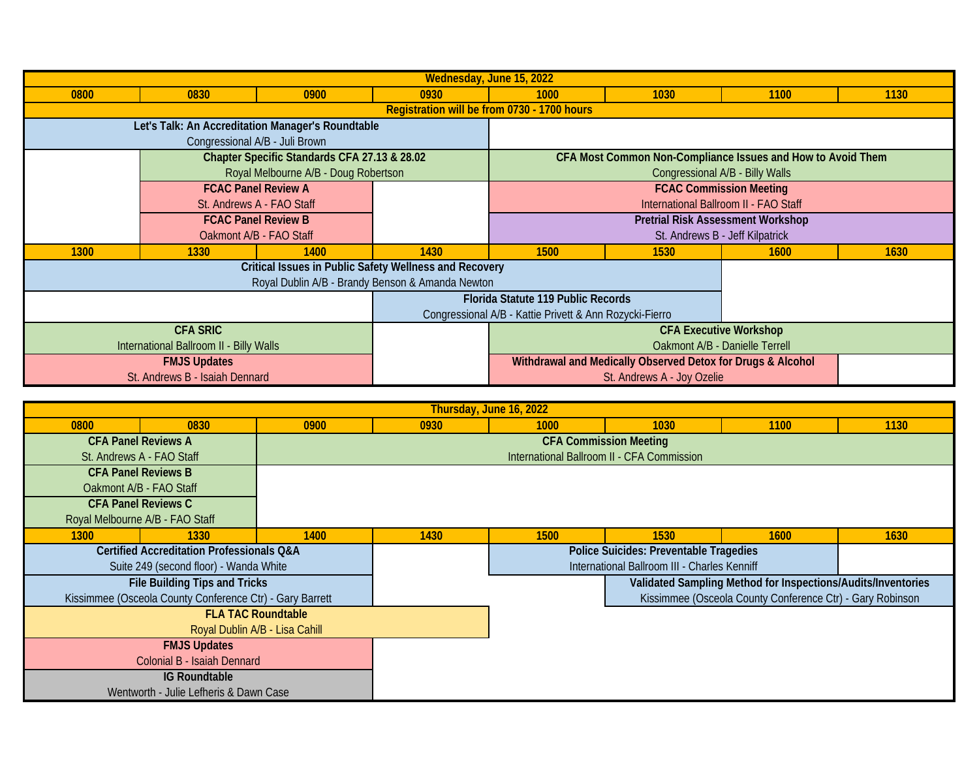| Wednesday, June 15, 2022                          |                            |                                                               |                                    |                                                             |                            |                                                             |      |  |
|---------------------------------------------------|----------------------------|---------------------------------------------------------------|------------------------------------|-------------------------------------------------------------|----------------------------|-------------------------------------------------------------|------|--|
| 0800                                              | 0830                       | 0900                                                          | 0930                               | 1000                                                        | 1030                       | 1100                                                        | 1130 |  |
|                                                   |                            |                                                               |                                    | Registration will be from 0730 - 1700 hours                 |                            |                                                             |      |  |
| Let's Talk: An Accreditation Manager's Roundtable |                            |                                                               |                                    |                                                             |                            |                                                             |      |  |
|                                                   |                            | Congressional A/B - Juli Brown                                |                                    |                                                             |                            |                                                             |      |  |
|                                                   |                            | Chapter Specific Standards CFA 27.13 & 28.02                  |                                    |                                                             |                            | CFA Most Common Non-Compliance Issues and How to Avoid Them |      |  |
|                                                   |                            | Royal Melbourne A/B - Doug Robertson                          |                                    |                                                             |                            | Congressional A/B - Billy Walls                             |      |  |
|                                                   |                            | <b>FCAC Panel Review A</b>                                    |                                    | <b>FCAC Commission Meeting</b>                              |                            |                                                             |      |  |
|                                                   |                            | St. Andrews A - FAO Staff                                     |                                    | International Ballroom II - FAO Staff                       |                            |                                                             |      |  |
|                                                   | <b>FCAC Panel Review B</b> |                                                               |                                    | <b>Pretrial Risk Assessment Workshop</b>                    |                            |                                                             |      |  |
|                                                   | Oakmont A/B - FAO Staff    |                                                               |                                    | St. Andrews B - Jeff Kilpatrick                             |                            |                                                             |      |  |
| 1300                                              | 1330                       | 1400                                                          | 1430                               | 1500                                                        | 1530                       | 1600                                                        | 1630 |  |
|                                                   |                            | <b>Critical Issues in Public Safety Wellness and Recovery</b> |                                    |                                                             |                            |                                                             |      |  |
| Royal Dublin A/B - Brandy Benson & Amanda Newton  |                            |                                                               |                                    |                                                             |                            |                                                             |      |  |
|                                                   |                            |                                                               | Florida Statute 119 Public Records |                                                             |                            |                                                             |      |  |
|                                                   |                            |                                                               |                                    | Congressional A/B - Kattie Privett & Ann Rozycki-Fierro     |                            |                                                             |      |  |
| <b>CFA SRIC</b>                                   |                            |                                                               |                                    | <b>CFA Executive Workshop</b>                               |                            |                                                             |      |  |
| International Ballroom II - Billy Walls           |                            |                                                               |                                    | Oakmont A/B - Danielle Terrell                              |                            |                                                             |      |  |
| <b>FMJS Updates</b>                               |                            |                                                               |                                    | Withdrawal and Medically Observed Detox for Drugs & Alcohol |                            |                                                             |      |  |
| St. Andrews B - Isaiah Dennard                    |                            |                                                               |                                    |                                                             | St. Andrews A - Joy Ozelie |                                                             |      |  |

| Thursday, June 16, 2022                                  |                            |      |                                               |      |                                                              |             |      |  |  |
|----------------------------------------------------------|----------------------------|------|-----------------------------------------------|------|--------------------------------------------------------------|-------------|------|--|--|
| 0800                                                     | 0830                       | 0900 | 0930                                          | 1000 | 1030                                                         | 1100        | 1130 |  |  |
|                                                          | <b>CFA Panel Reviews A</b> |      | <b>CFA Commission Meeting</b>                 |      |                                                              |             |      |  |  |
| St. Andrews A - FAO Staff                                |                            |      | International Ballroom II - CFA Commission    |      |                                                              |             |      |  |  |
| <b>CFA Panel Reviews B</b>                               |                            |      |                                               |      |                                                              |             |      |  |  |
| Oakmont A/B - FAO Staff                                  |                            |      |                                               |      |                                                              |             |      |  |  |
|                                                          | <b>CFA Panel Reviews C</b> |      |                                               |      |                                                              |             |      |  |  |
| Royal Melbourne A/B - FAO Staff                          |                            |      |                                               |      |                                                              |             |      |  |  |
| 1300                                                     | 1330                       | 1400 | 1430                                          | 1500 | 1530                                                         | <b>1600</b> | 1630 |  |  |
| <b>Certified Accreditation Professionals Q&amp;A</b>     |                            |      | <b>Police Suicides: Preventable Tragedies</b> |      |                                                              |             |      |  |  |
| Suite 249 (second floor) - Wanda White                   |                            |      | International Ballroom III - Charles Kenniff  |      |                                                              |             |      |  |  |
| File Building Tips and Tricks                            |                            |      |                                               |      | Validated Sampling Method for Inspections/Audits/Inventories |             |      |  |  |
| Kissimmee (Osceola County Conference Ctr) - Gary Barrett |                            |      |                                               |      | Kissimmee (Osceola County Conference Ctr) - Gary Robinson    |             |      |  |  |
| <b>FLA TAC Roundtable</b>                                |                            |      |                                               |      |                                                              |             |      |  |  |
| Royal Dublin A/B - Lisa Cahill                           |                            |      |                                               |      |                                                              |             |      |  |  |
| <b>FMJS Updates</b>                                      |                            |      |                                               |      |                                                              |             |      |  |  |
| Colonial B - Isaiah Dennard                              |                            |      |                                               |      |                                                              |             |      |  |  |
| <b>IG Roundtable</b>                                     |                            |      |                                               |      |                                                              |             |      |  |  |
| Wentworth - Julie Lefheris & Dawn Case                   |                            |      |                                               |      |                                                              |             |      |  |  |